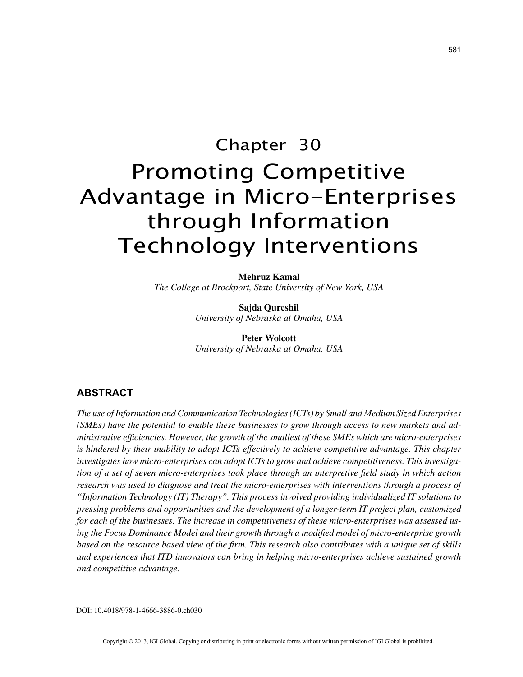# Chapter 30 Promoting Competitive Advantage in Micro-Enterprises through Information Technology Interventions

**Mehruz Kamal** *The College at Brockport, State University of New York, USA*

> **Sajda Qureshil** *University of Nebraska at Omaha, USA*

> **Peter Wolcott** *University of Nebraska at Omaha, USA*

# **ABSTRACT**

*The use of Information and Communication Technologies (ICTs) by Small and Medium Sized Enterprises (SMEs) have the potential to enable these businesses to grow through access to new markets and administrative efficiencies. However, the growth of the smallest of these SMEs which are micro-enterprises is hindered by their inability to adopt ICTs effectively to achieve competitive advantage. This chapter investigates how micro-enterprises can adopt ICTs to grow and achieve competitiveness. This investigation of a set of seven micro-enterprises took place through an interpretive field study in which action research was used to diagnose and treat the micro-enterprises with interventions through a process of "Information Technology (IT) Therapy". This process involved providing individualized IT solutions to pressing problems and opportunities and the development of a longer-term IT project plan, customized for each of the businesses. The increase in competitiveness of these micro-enterprises was assessed using the Focus Dominance Model and their growth through a modified model of micro-enterprise growth based on the resource based view of the firm. This research also contributes with a unique set of skills and experiences that ITD innovators can bring in helping micro-enterprises achieve sustained growth and competitive advantage.*

DOI: 10.4018/978-1-4666-3886-0.ch030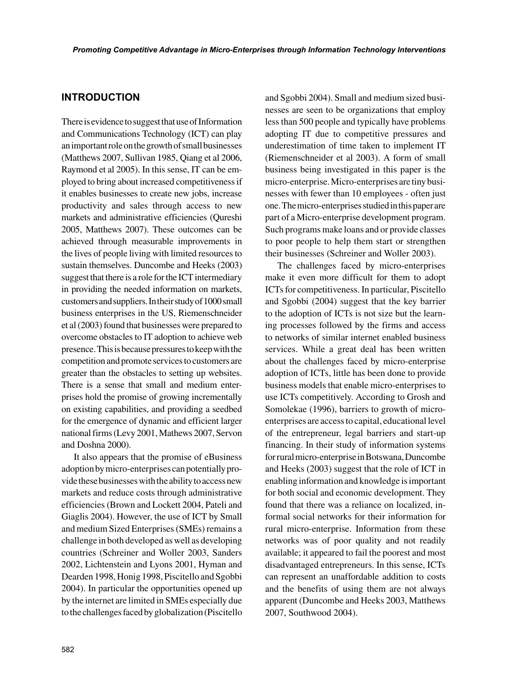## **INTRODUCTION**

There is evidence to suggest that use of Information and Communications Technology (ICT) can play an important role on the growth of small businesses (Matthews 2007, Sullivan 1985, Qiang et al 2006, Raymond et al 2005). In this sense, IT can be employed to bring about increased competitiveness if it enables businesses to create new jobs, increase productivity and sales through access to new markets and administrative efficiencies (Qureshi 2005, Matthews 2007). These outcomes can be achieved through measurable improvements in the lives of people living with limited resources to sustain themselves. Duncombe and Heeks (2003) suggest that there is a role for the ICT intermediary in providing the needed information on markets, customers and suppliers. In their study of 1000 small business enterprises in the US, Riemenschneider et al (2003) found that businesses were prepared to overcome obstacles to IT adoption to achieve web presence. This is because pressures to keep with the competition and promote services to customers are greater than the obstacles to setting up websites. There is a sense that small and medium enterprises hold the promise of growing incrementally on existing capabilities, and providing a seedbed for the emergence of dynamic and efficient larger national firms (Levy 2001, Mathews 2007, Servon and Doshna 2000).

It also appears that the promise of eBusiness adoption by micro-enterprises can potentially provide these businesses with the ability to access new markets and reduce costs through administrative efficiencies (Brown and Lockett 2004, Pateli and Giaglis 2004). However, the use of ICT by Small and medium Sized Enterprises (SMEs) remains a challenge in both developed as well as developing countries (Schreiner and Woller 2003, Sanders 2002, Lichtenstein and Lyons 2001, Hyman and Dearden 1998, Honig 1998, Piscitello and Sgobbi 2004). In particular the opportunities opened up by the internet are limited in SMEs especially due to the challenges faced by globalization (Piscitello and Sgobbi 2004). Small and medium sized businesses are seen to be organizations that employ less than 500 people and typically have problems adopting IT due to competitive pressures and underestimation of time taken to implement IT (Riemenschneider et al 2003). A form of small business being investigated in this paper is the micro-enterprise. Micro-enterprises are tiny businesses with fewer than 10 employees - often just one. The micro-enterprises studied in this paper are part of a Micro-enterprise development program. Such programs make loans and or provide classes to poor people to help them start or strengthen their businesses (Schreiner and Woller 2003).

The challenges faced by micro-enterprises make it even more difficult for them to adopt ICTs for competitiveness. In particular, Piscitello and Sgobbi (2004) suggest that the key barrier to the adoption of ICTs is not size but the learning processes followed by the firms and access to networks of similar internet enabled business services. While a great deal has been written about the challenges faced by micro-enterprise adoption of ICTs, little has been done to provide business models that enable micro-enterprises to use ICTs competitively. According to Grosh and Somolekae (1996), barriers to growth of microenterprises are access to capital, educational level of the entrepreneur, legal barriers and start-up financing. In their study of information systems for rural micro-enterprise in Botswana, Duncombe and Heeks (2003) suggest that the role of ICT in enabling information and knowledge is important for both social and economic development. They found that there was a reliance on localized, informal social networks for their information for rural micro-enterprise. Information from these networks was of poor quality and not readily available; it appeared to fail the poorest and most disadvantaged entrepreneurs. In this sense, ICTs can represent an unaffordable addition to costs and the benefits of using them are not always apparent (Duncombe and Heeks 2003, Matthews 2007, Southwood 2004).